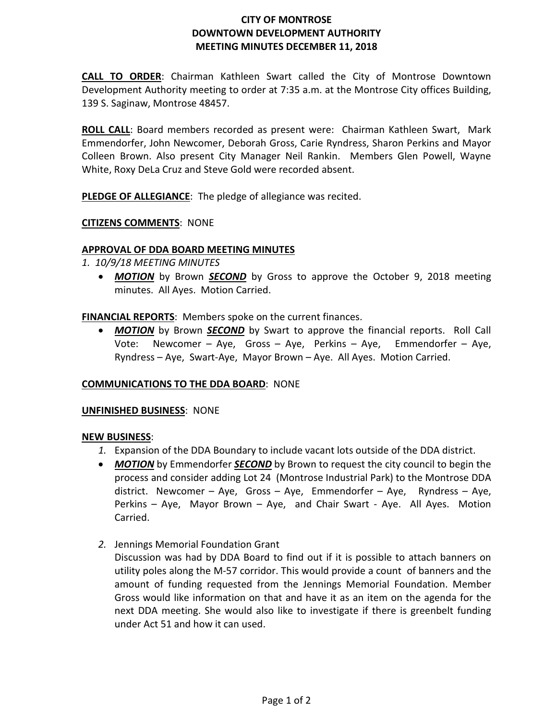# **CITY OF MONTROSE DOWNTOWN DEVELOPMENT AUTHORITY MEETING MINUTES DECEMBER 11, 2018**

**CALL TO ORDER**: Chairman Kathleen Swart called the City of Montrose Downtown Development Authority meeting to order at 7:35 a.m. at the Montrose City offices Building, 139 S. Saginaw, Montrose 48457.

**ROLL CALL**: Board members recorded as present were: Chairman Kathleen Swart, Mark Emmendorfer, John Newcomer, Deborah Gross, Carie Ryndress, Sharon Perkins and Mayor Colleen Brown. Also present City Manager Neil Rankin. Members Glen Powell, Wayne White, Roxy DeLa Cruz and Steve Gold were recorded absent.

**PLEDGE OF ALLEGIANCE**: The pledge of allegiance was recited.

## **CITIZENS COMMENTS**: NONE

### **APPROVAL OF DDA BOARD MEETING MINUTES**

- *1. 10/9/18 MEETING MINUTES*
	- **MOTION** by Brown **SECOND** by Gross to approve the October 9, 2018 meeting minutes. All Ayes. Motion Carried.

**FINANCIAL REPORTS**: Members spoke on the current finances.

• *MOTION* by Brown *SECOND* by Swart to approve the financial reports. Roll Call Vote: Newcomer – Aye, Gross – Aye, Perkins – Aye, Emmendorfer – Aye, Ryndress – Aye, Swart-Aye, Mayor Brown – Aye. All Ayes. Motion Carried.

#### **COMMUNICATIONS TO THE DDA BOARD**: NONE

#### **UNFINISHED BUSINESS**: NONE

#### **NEW BUSINESS**:

- *1.* Expansion of the DDA Boundary to include vacant lots outside of the DDA district.
- *MOTION* by Emmendorfer *SECOND* by Brown to request the city council to begin the process and consider adding Lot 24 (Montrose Industrial Park) to the Montrose DDA district. Newcomer – Aye, Gross – Aye, Emmendorfer – Aye, Ryndress – Aye, Perkins – Aye, Mayor Brown – Aye, and Chair Swart - Aye. All Ayes. Motion Carried.
- *2.* Jennings Memorial Foundation Grant

Discussion was had by DDA Board to find out if it is possible to attach banners on utility poles along the M-57 corridor. This would provide a count of banners and the amount of funding requested from the Jennings Memorial Foundation. Member Gross would like information on that and have it as an item on the agenda for the next DDA meeting. She would also like to investigate if there is greenbelt funding under Act 51 and how it can used.